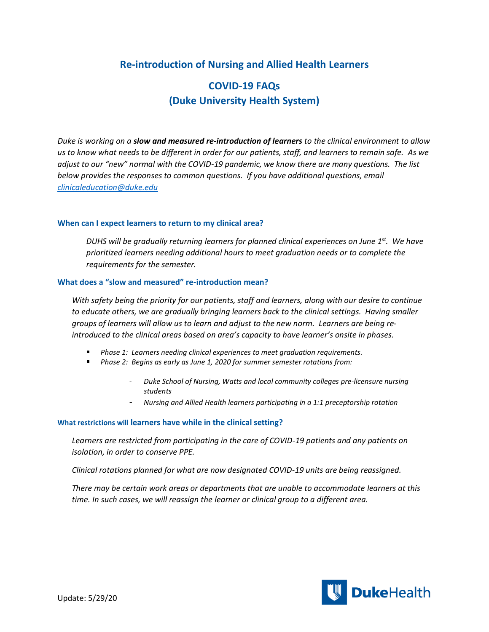## **Re-introduction of Nursing and Allied Health Learners**

# **COVID-19 FAQs (Duke University Health System)**

*Duke is working on a slow and measured re-introduction of learners to the clinical environment to allow us to know what needs to be different in order for our patients, staff, and learners to remain safe. As we adjust to our "new" normal with the COVID-19 pandemic, we know there are many questions. The list below provides the responses to common questions. If you have additional questions, email [clinicaleducation@duke.edu](mailto:clinicaleducation@duke.edu)* 

#### **When can I expect learners to return to my clinical area?**

*DUHS will be gradually returning learners for planned clinical experiences on June 1st . We have prioritized learners needing additional hours to meet graduation needs or to complete the requirements for the semester.* 

#### **What does a "slow and measured" re-introduction mean?**

*With safety being the priority for our patients, staff and learners, along with our desire to continue to educate others, we are gradually bringing learners back to the clinical settings. Having smaller groups of learners will allow us to learn and adjust to the new norm. Learners are being reintroduced to the clinical areas based on area's capacity to have learner's onsite in phases.*

- *Phase 1: Learners needing clinical experiences to meet graduation requirements.*
- *Phase 2: Begins as early as June 1, 2020 for summer semester rotations from:*
	- *Duke School of Nursing, Watts and local community colleges pre-licensure nursing students*
	- *Nursing and Allied Health learners participating in a 1:1 preceptorship rotation*

#### **What restrictions will learners have while in the clinical setting?**

*Learners are restricted from participating in the care of COVID-19 patients and any patients on isolation, in order to conserve PPE.*

*Clinical rotations planned for what are now designated COVID-19 units are being reassigned.*

*There may be certain work areas or departments that are unable to accommodate learners at this time. In such cases, we will reassign the learner or clinical group to a different area.* 

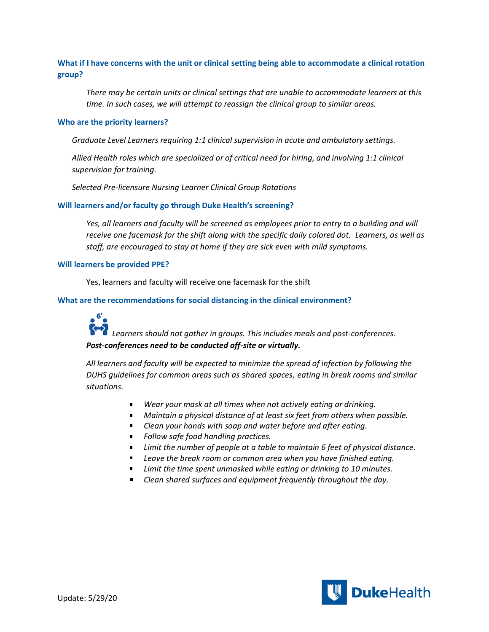### **What if I have concerns with the unit or clinical setting being able to accommodate a clinical rotation group?**

*There may be certain units or clinical settings that are unable to accommodate learners at this time. In such cases, we will attempt to reassign the clinical group to similar areas.* 

#### **Who are the priority learners?**

*Graduate Level Learners requiring 1:1 clinical supervision in acute and ambulatory settings.* 

*Allied Health roles which are specialized or of critical need for hiring, and involving 1:1 clinical supervision for training.*

*Selected Pre-licensure Nursing Learner Clinical Group Rotations*

#### **Will learners and/or faculty go through Duke Health's screening?**

*Yes, all learners and faculty will be screened as employees prior to entry to a building and will receive one facemask for the shift along with the specific daily colored dot. Learners, as well as staff, are encouraged to stay at home if they are sick even with mild symptoms.* 

#### **Will learners be provided PPE?**

Yes, learners and faculty will receive one facemask for the shift

#### **What are the recommendations for social distancing in the clinical environment?**

 $\sim$  6' $\sim$ *Learners should not gather in groups. This includes meals and post-conferences. Post-conferences need to be conducted off-site or virtually.* 

*All learners and faculty will be expected to minimize the spread of infection by following the DUHS guidelines for common areas such as shared spaces, eating in break rooms and similar situations.*

- *Wear your mask at all times when not actively eating or drinking.*
- *Maintain a physical distance of at least six feet from others when possible.*
- *Clean your hands with soap and water before and after eating.*
- *Follow safe food handling practices.*
- *Limit the number of people at a table to maintain 6 feet of physical distance.*
- *Leave the break room or common area when you have finished eating.*
- $\blacksquare$ *Limit the time spent unmasked while eating or drinking to 10 minutes.*
- *Clean shared surfaces and equipment frequently throughout the day.*